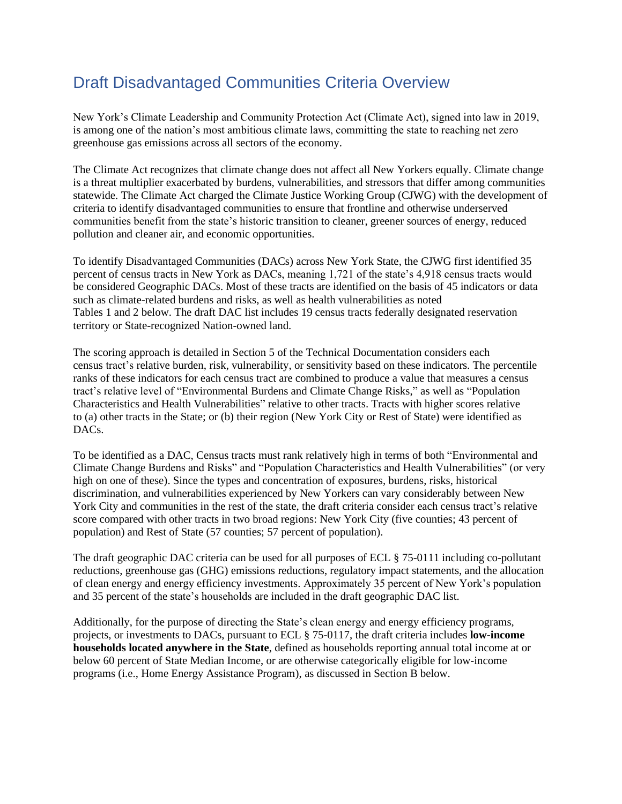# Draft Disadvantaged Communities Criteria Overview

New York's Climate Leadership and Community Protection Act (Climate Act), signed into law in 2019, is among one of the nation's most ambitious climate laws, committing the state to reaching net zero greenhouse gas emissions across all sectors of the economy.

The Climate Act recognizes that climate change does not affect all New Yorkers equally. Climate change is a threat multiplier exacerbated by burdens, vulnerabilities, and stressors that differ among communities statewide. The Climate Act charged the Climate Justice Working Group (CJWG) with the development of criteria to identify disadvantaged communities to ensure that frontline and otherwise underserved communities benefit from the state's historic transition to cleaner, greener sources of energy, reduced pollution and cleaner air, and economic opportunities.

To identify Disadvantaged Communities (DACs) across New York State, the CJWG first identified 35 percent of census tracts in New York as DACs, meaning 1,721 of the state's 4,918 census tracts would be considered Geographic DACs. Most of these tracts are identified on the basis of 45 indicators or data such as climate-related burdens and risks, as well as health vulnerabilities as noted Tables 1 and 2 below. The draft DAC list includes 19 census tracts federally designated reservation territory or State-recognized Nation-owned land.

The scoring approach is detailed in Section 5 of the Technical Documentation considers each census tract's relative burden, risk, vulnerability, or sensitivity based on these indicators. The percentile ranks of these indicators for each census tract are combined to produce a value that measures a census tract's relative level of "Environmental Burdens and Climate Change Risks," as well as "Population Characteristics and Health Vulnerabilities" relative to other tracts. Tracts with higher scores relative to (a) other tracts in the State; or (b) their region (New York City or Rest of State) were identified as DACs.

To be identified as a DAC, Census tracts must rank relatively high in terms of both "Environmental and Climate Change Burdens and Risks" and "Population Characteristics and Health Vulnerabilities" (or very high on one of these). Since the types and concentration of exposures, burdens, risks, historical discrimination, and vulnerabilities experienced by New Yorkers can vary considerably between New York City and communities in the rest of the state, the draft criteria consider each census tract's relative score compared with other tracts in two broad regions: New York City (five counties; 43 percent of population) and Rest of State (57 counties; 57 percent of population).

The draft geographic DAC criteria can be used for all purposes of ECL § 75-0111 including co-pollutant reductions, greenhouse gas (GHG) emissions reductions, regulatory impact statements, and the allocation of clean energy and energy efficiency investments. Approximately 35 percent of New York's population and 35 percent of the state's households are included in the draft geographic DAC list.

Additionally, for the purpose of directing the State's clean energy and energy efficiency programs, projects, or investments to DACs, pursuant to ECL § 75-0117, the draft criteria includes **low-income households located anywhere in the State**, defined as households reporting annual total income at or below 60 percent of State Median Income, or are otherwise categorically eligible for low-income programs (i.e., Home Energy Assistance Program), as discussed in Section B below.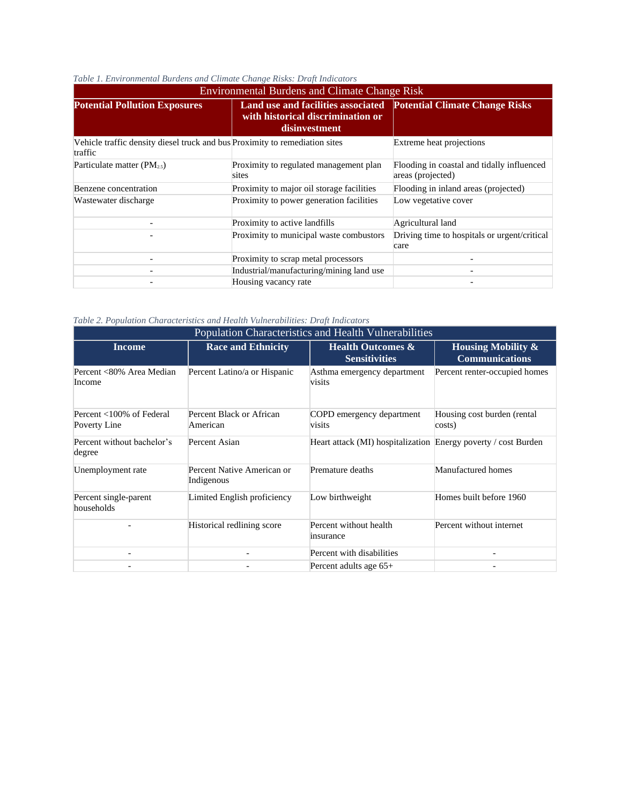| <b>Environmental Burdens and Climate Change Risk</b>                                   |                                                                                          |                                                                 |  |  |
|----------------------------------------------------------------------------------------|------------------------------------------------------------------------------------------|-----------------------------------------------------------------|--|--|
| <b>Potential Pollution Exposures</b>                                                   | Land use and facilities associated<br>with historical discrimination or<br>disinvestment | <b>Potential Climate Change Risks</b>                           |  |  |
| Vehicle traffic density diesel truck and bus Proximity to remediation sites<br>traffic |                                                                                          | Extreme heat projections                                        |  |  |
| Particulate matter $(PM_{2.5})$                                                        | Proximity to regulated management plan<br>sites                                          | Flooding in coastal and tidally influenced<br>areas (projected) |  |  |
| Benzene concentration                                                                  | Proximity to major oil storage facilities                                                | Flooding in inland areas (projected)                            |  |  |
| Wastewater discharge                                                                   | Proximity to power generation facilities                                                 | Low vegetative cover                                            |  |  |
|                                                                                        | Proximity to active landfills                                                            | Agricultural land                                               |  |  |
|                                                                                        | Proximity to municipal waste combustors                                                  | Driving time to hospitals or urgent/critical<br>care            |  |  |
|                                                                                        | Proximity to scrap metal processors                                                      |                                                                 |  |  |
| ۰                                                                                      | Industrial/manufacturing/mining land use                                                 | $\overline{\phantom{0}}$                                        |  |  |
|                                                                                        | Housing vacancy rate                                                                     |                                                                 |  |  |

#### *Table 1. Environmental Burdens and Climate Change Risks: Draft Indicators*

*Table 2. Population Characteristics and Health Vulnerabilities: Draft Indicators*

| Population Characteristics and Health Vulnerabilities |                                          |                                                                |                                                        |  |  |
|-------------------------------------------------------|------------------------------------------|----------------------------------------------------------------|--------------------------------------------------------|--|--|
| <b>Income</b>                                         | <b>Race and Ethnicity</b>                | <b>Health Outcomes &amp;</b><br><b>Sensitivities</b>           | <b>Housing Mobility &amp;</b><br><b>Communications</b> |  |  |
| Percent <80% Area Median<br>Income                    | Percent Latino/a or Hispanic             | Asthma emergency department<br>visits                          | Percent renter-occupied homes                          |  |  |
| Percent <100% of Federal<br>Poverty Line              | Percent Black or African<br>American     | COPD emergency department<br>visits                            | Housing cost burden (rental<br>costs)                  |  |  |
| Percent without bachelor's<br>degree                  | Percent Asian                            | Heart attack (MI) hospitalization Energy poverty / cost Burden |                                                        |  |  |
| Unemployment rate                                     | Percent Native American or<br>Indigenous | Premature deaths                                               | Manufactured homes                                     |  |  |
| Percent single-parent<br>households                   | Limited English proficiency              | Low birthweight                                                | Homes built before 1960                                |  |  |
|                                                       | Historical redlining score               | Percent without health<br>insurance                            | Percent without internet                               |  |  |
|                                                       |                                          | Percent with disabilities                                      |                                                        |  |  |
|                                                       |                                          | Percent adults age 65+                                         |                                                        |  |  |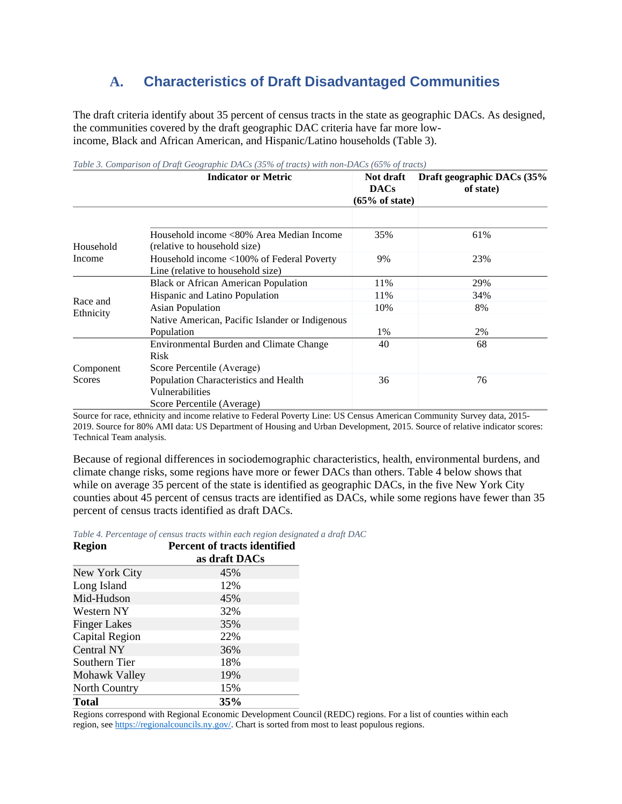## **A. Characteristics of Draft Disadvantaged Communities**

The draft criteria identify about 35 percent of census tracts in the state as geographic DACs. As designed, the communities covered by the draft geographic DAC criteria have far more lowincome, Black and African American, and Hispanic/Latino households (Table 3).

|                       | <b>Indicator or Metric</b>                                                             | Not draft                     | Draft geographic DACs (35% |
|-----------------------|----------------------------------------------------------------------------------------|-------------------------------|----------------------------|
|                       |                                                                                        | <b>DACs</b><br>(65% of state) | of state)                  |
|                       |                                                                                        |                               |                            |
| Household             | Household income <80% Area Median Income<br>(relative to household size)               | 35%                           | 61%                        |
| Income                | Household income <100% of Federal Poverty<br>Line (relative to household size)         | 9%                            | 23%                        |
| Race and<br>Ethnicity | <b>Black or African American Population</b>                                            | 11%                           | 29%                        |
|                       | Hispanic and Latino Population                                                         | 11%                           | 34%                        |
|                       | <b>Asian Population</b>                                                                | 10%                           | 8%                         |
|                       | Native American, Pacific Islander or Indigenous                                        |                               |                            |
|                       | Population                                                                             | 1%                            | 2%                         |
|                       | Environmental Burden and Climate Change<br><b>Risk</b>                                 | 40                            | 68                         |
| Component             | Score Percentile (Average)                                                             |                               |                            |
| <b>Scores</b>         | Population Characteristics and Health<br>Vulnerabilities<br>Score Percentile (Average) | 36                            | 76                         |

*Table 3. Comparison of Draft Geographic DACs (35% of tracts) with non-DACs (65% of tracts)*

Source for race, ethnicity and income relative to Federal Poverty Line: US Census American Community Survey data, 2015- 2019. Source for 80% AMI data: US Department of Housing and Urban Development, 2015. Source of relative indicator scores: Technical Team analysis.

Because of regional differences in sociodemographic characteristics, health, environmental burdens, and climate change risks, some regions have more or fewer DACs than others. Table 4 below shows that while on average 35 percent of the state is identified as geographic DACs, in the five New York City counties about 45 percent of census tracts are identified as DACs, while some regions have fewer than 35 percent of census tracts identified as draft DACs.

*Table 4. Percentage of census tracts within each region designated a draft DAC*

| <b>Region</b>       | <b>Percent of tracts identified</b><br>as draft DACs |  |
|---------------------|------------------------------------------------------|--|
|                     |                                                      |  |
| New York City       | 45%                                                  |  |
| Long Island         | 12%                                                  |  |
| Mid-Hudson          | 45%                                                  |  |
| Western NY          | 32%                                                  |  |
| <b>Finger Lakes</b> | 35%                                                  |  |
| Capital Region      | 22%                                                  |  |
| Central NY          | 36%                                                  |  |
| Southern Tier       | 18%                                                  |  |
| Mohawk Valley       | 19%                                                  |  |
| North Country       | 15%                                                  |  |
| <b>Total</b>        | 35%                                                  |  |

Regions correspond with Regional Economic Development Council (REDC) regions. For a list of counties within each region, see [https://regionalcouncils.ny.gov/.](https://regionalcouncils.ny.gov/) Chart is sorted from most to least populous regions.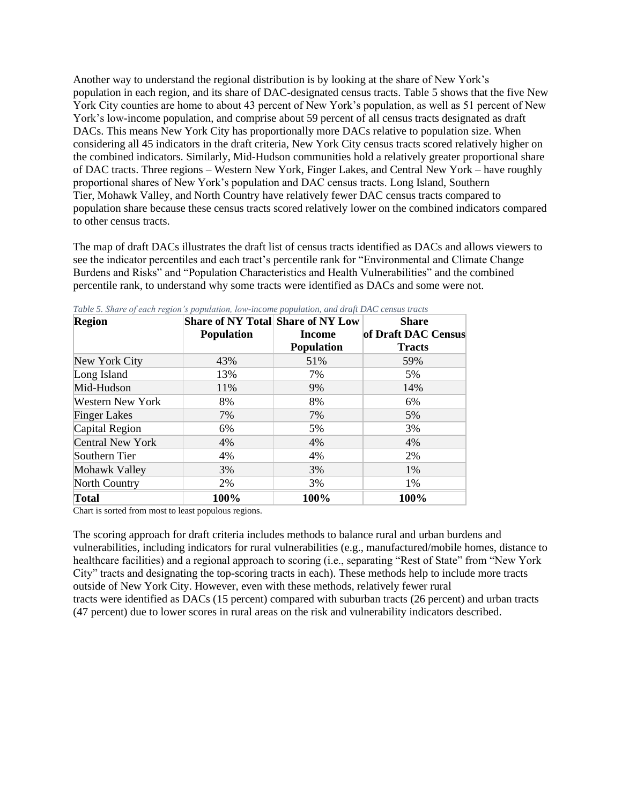Another way to understand the regional distribution is by looking at the share of New York's population in each region, and its share of DAC-designated census tracts. Table 5 shows that the five New York City counties are home to about 43 percent of New York's population, as well as 51 percent of New York's low-income population, and comprise about 59 percent of all census tracts designated as draft DACs. This means New York City has proportionally more DACs relative to population size. When considering all 45 indicators in the draft criteria, New York City census tracts scored relatively higher on the combined indicators. Similarly, Mid-Hudson communities hold a relatively greater proportional share of DAC tracts. Three regions – Western New York, Finger Lakes, and Central New York – have roughly proportional shares of New York's population and DAC census tracts. Long Island, Southern Tier, Mohawk Valley, and North Country have relatively fewer DAC census tracts compared to population share because these census tracts scored relatively lower on the combined indicators compared to other census tracts.

The map of draft DACs illustrates the draft list of census tracts identified as DACs and allows viewers to see the indicator percentiles and each tract's percentile rank for "Environmental and Climate Change Burdens and Risks" and "Population Characteristics and Health Vulnerabilities" and the combined percentile rank, to understand why some tracts were identified as DACs and some were not.

| <b>Region</b>           | <b>Share of NY Total Share of NY Low</b> |                   | Share               |
|-------------------------|------------------------------------------|-------------------|---------------------|
|                         | <b>Population</b>                        | <b>Income</b>     | of Draft DAC Census |
|                         |                                          | <b>Population</b> | <b>Tracts</b>       |
| New York City           | 43%                                      | 51%               | 59%                 |
| Long Island             | 13%                                      | 7%                | 5%                  |
| Mid-Hudson              | 11%                                      | 9%                | 14%                 |
| <b>Western New York</b> | 8%                                       | 8%                | 6%                  |
| <b>Finger Lakes</b>     | 7%                                       | 7%                | 5%                  |
| Capital Region          | 6%                                       | 5%                | 3%                  |
| <b>Central New York</b> | 4%                                       | 4%                | 4%                  |
| Southern Tier           | 4%                                       | 4%                | 2%                  |
| Mohawk Valley           | 3%                                       | 3%                | 1%                  |
| North Country           | 2%                                       | 3%                | 1%                  |
| <b>Total</b>            | 100%                                     | 100%              | 100%                |

*Table 5. Share of each region's population, low-income population, and draft DAC census tracts*

Chart is sorted from most to least populous regions.

The scoring approach for draft criteria includes methods to balance rural and urban burdens and vulnerabilities, including indicators for rural vulnerabilities (e.g., manufactured/mobile homes, distance to healthcare facilities) and a regional approach to scoring (i.e., separating "Rest of State" from "New York City" tracts and designating the top-scoring tracts in each). These methods help to include more tracts outside of New York City. However, even with these methods, relatively fewer rural tracts were identified as DACs (15 percent) compared with suburban tracts (26 percent) and urban tracts (47 percent) due to lower scores in rural areas on the risk and vulnerability indicators described.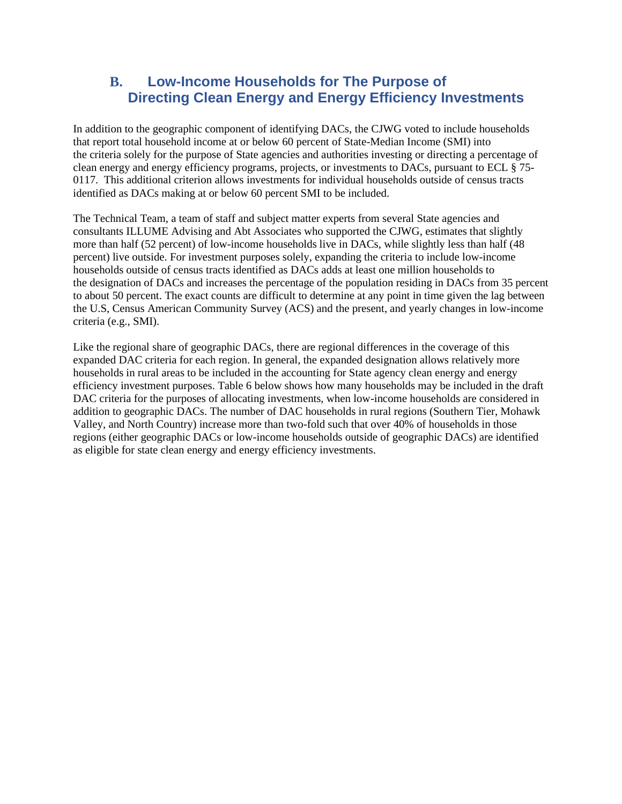### **B. Low-Income Households for The Purpose of Directing Clean Energy and Energy Efficiency Investments**

In addition to the geographic component of identifying DACs, the CJWG voted to include households that report total household income at or below 60 percent of State-Median Income (SMI) into the criteria solely for the purpose of State agencies and authorities investing or directing a percentage of clean energy and energy efficiency programs, projects, or investments to DACs, pursuant to ECL § 75- 0117. This additional criterion allows investments for individual households outside of census tracts identified as DACs making at or below 60 percent SMI to be included.

The Technical Team, a team of staff and subject matter experts from several State agencies and consultants ILLUME Advising and Abt Associates who supported the CJWG, estimates that slightly more than half (52 percent) of low-income households live in DACs, while slightly less than half (48 percent) live outside. For investment purposes solely, expanding the criteria to include low-income households outside of census tracts identified as DACs adds at least one million households to the designation of DACs and increases the percentage of the population residing in DACs from 35 percent to about 50 percent. The exact counts are difficult to determine at any point in time given the lag between the U.S, Census American Community Survey (ACS) and the present, and yearly changes in low-income criteria (e.g., SMI).

Like the regional share of geographic DACs, there are regional differences in the coverage of this expanded DAC criteria for each region. In general, the expanded designation allows relatively more households in rural areas to be included in the accounting for State agency clean energy and energy efficiency investment purposes. Table 6 below shows how many households may be included in the draft DAC criteria for the purposes of allocating investments, when low-income households are considered in addition to geographic DACs. The number of DAC households in rural regions (Southern Tier, Mohawk Valley, and North Country) increase more than two-fold such that over 40% of households in those regions (either geographic DACs or low-income households outside of geographic DACs) are identified as eligible for state clean energy and energy efficiency investments.